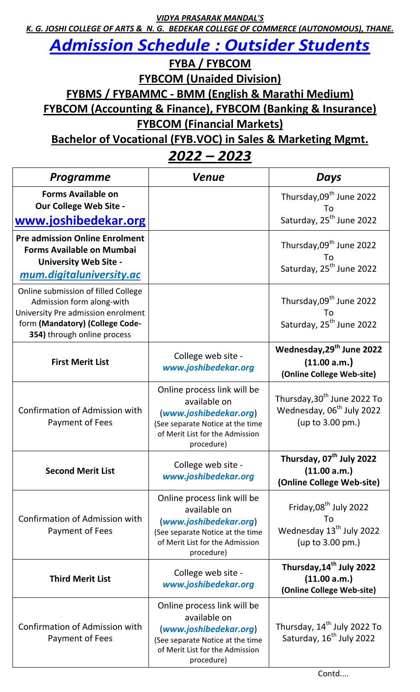*VIDYA PRASARAK MANDAL'S*

*K. G. JOSHI COLLEGE OF ARTS & N. G. BEDEKAR COLLEGE OF COMMERCE (AUTONOMOUS), THANE.*

## *Admission Schedule : Outsider Students*

**FYBA / FYBCOM**

**FYBCOM (Unaided Division)**

**FYBMS / FYBAMMC - BMM (English & Marathi Medium)**

**FYBCOM (Accounting & Finance), FYBCOM (Banking & Insurance)**

**FYBCOM (Financial Markets)**

**Bachelor of Vocational (FYB.VOC) in Sales & Marketing Mgmt.**

*2022 – 2023*

| <b>Programme</b>                                                                                                                                                         | <b>Venue</b>                                                                                                                                               | Days                                                                                                 |
|--------------------------------------------------------------------------------------------------------------------------------------------------------------------------|------------------------------------------------------------------------------------------------------------------------------------------------------------|------------------------------------------------------------------------------------------------------|
| <b>Forms Available on</b><br>Our College Web Site -<br>www.joshibedekar.org                                                                                              |                                                                                                                                                            | Thursday, 09 <sup>th</sup> June 2022<br>To<br>Saturday, 25 <sup>th</sup> June 2022                   |
| <b>Pre admission Online Enrolment</b><br><b>Forms Available on Mumbai</b><br><b>University Web Site -</b><br>mum.digitaluniversity.ac                                    |                                                                                                                                                            | Thursday, 09 <sup>th</sup> June 2022<br>To<br>Saturday, 25 <sup>th</sup> June 2022                   |
| Online submission of filled College<br>Admission form along-with<br>University Pre admission enrolment<br>form (Mandatory) (College Code-<br>354) through online process |                                                                                                                                                            | Thursday, 09 <sup>th</sup> June 2022<br>To<br>Saturday, 25 <sup>th</sup> June 2022                   |
| <b>First Merit List</b>                                                                                                                                                  | College web site -<br>www.joshibedekar.org                                                                                                                 | Wednesday, 29 <sup>th</sup> June 2022<br>(11.00 a.m.)<br>(Online College Web-site)                   |
| <b>Confirmation of Admission with</b><br>Payment of Fees                                                                                                                 | Online process link will be<br>available on<br>(www.joshibedekar.org)<br>(See separate Notice at the time<br>of Merit List for the Admission<br>procedure) | Thursday, 30 <sup>th</sup> June 2022 To<br>Wednesday, 06 <sup>th</sup> July 2022<br>(up to 3.00 pm.) |
| <b>Second Merit List</b>                                                                                                                                                 | College web site -<br>www.joshibedekar.org                                                                                                                 | Thursday, 07 <sup>th</sup> July 2022<br>(11.00 a.m.)<br>(Online College Web-site)                    |
| <b>Confirmation of Admission with</b><br>Payment of Fees                                                                                                                 | Online process link will be<br>available on<br>(www.joshibedekar.org)<br>(See separate Notice at the time<br>of Merit List for the Admission<br>procedure) | Friday, 08 <sup>th</sup> July 2022<br>T٥<br>Wednesday 13 <sup>th</sup> July 2022<br>(up to 3.00 pm.) |
| <b>Third Merit List</b>                                                                                                                                                  | College web site -<br>www.joshibedekar.org                                                                                                                 | Thursday, 14 <sup>th</sup> July 2022<br>(11.00 a.m.)<br>(Online College Web-site)                    |
| <b>Confirmation of Admission with</b><br>Payment of Fees                                                                                                                 | Online process link will be<br>available on<br>(www.joshibedekar.org)<br>(See separate Notice at the time<br>of Merit List for the Admission<br>procedure) | Thursday, 14 <sup>th</sup> July 2022 To<br>Saturday, 16 <sup>th</sup> July 2022                      |